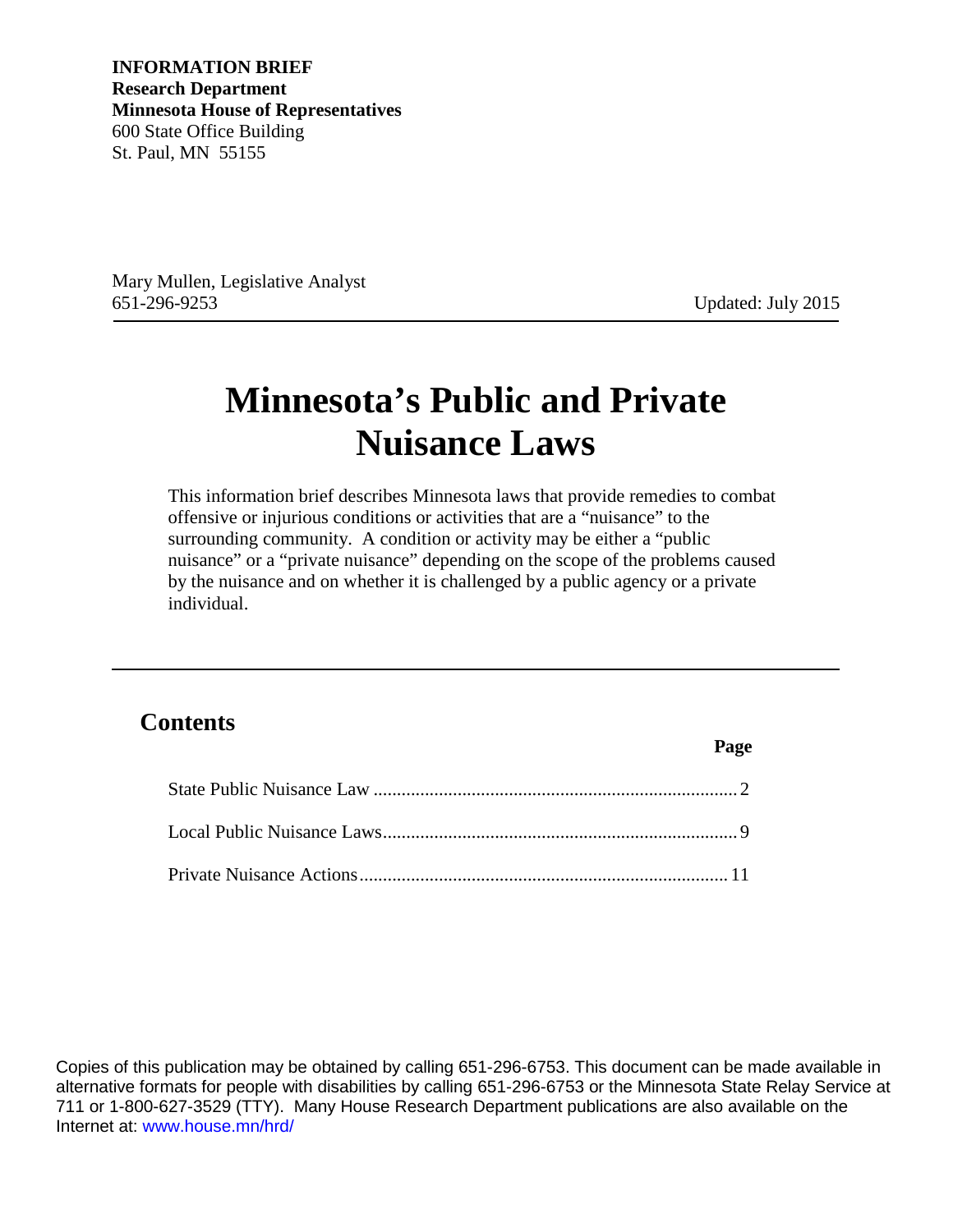**INFORMATION BRIEF Research Department Minnesota House of Representatives** 600 State Office Building St. Paul, MN 55155

Mary Mullen, Legislative Analyst 651-296-9253 Updated: July 2015

**Page** 

# **Minnesota's Public and Private Nuisance Laws**

This information brief describes Minnesota laws that provide remedies to combat offensive or injurious conditions or activities that are a "nuisance" to the surrounding community. A condition or activity may be either a "public nuisance" or a "private nuisance" depending on the scope of the problems caused by the nuisance and on whether it is challenged by a public agency or a private individual.

## **Contents**

Copies of this publication may be obtained by calling 651-296-6753. This document can be made available in alternative formats for people with disabilities by calling 651-296-6753 or the Minnesota State Relay Service at 711 or 1-800-627-3529 (TTY). Many House Research Department publications are also available on the Internet at: [www.house.mn/hrd/](http://www.house.mn/hrd/)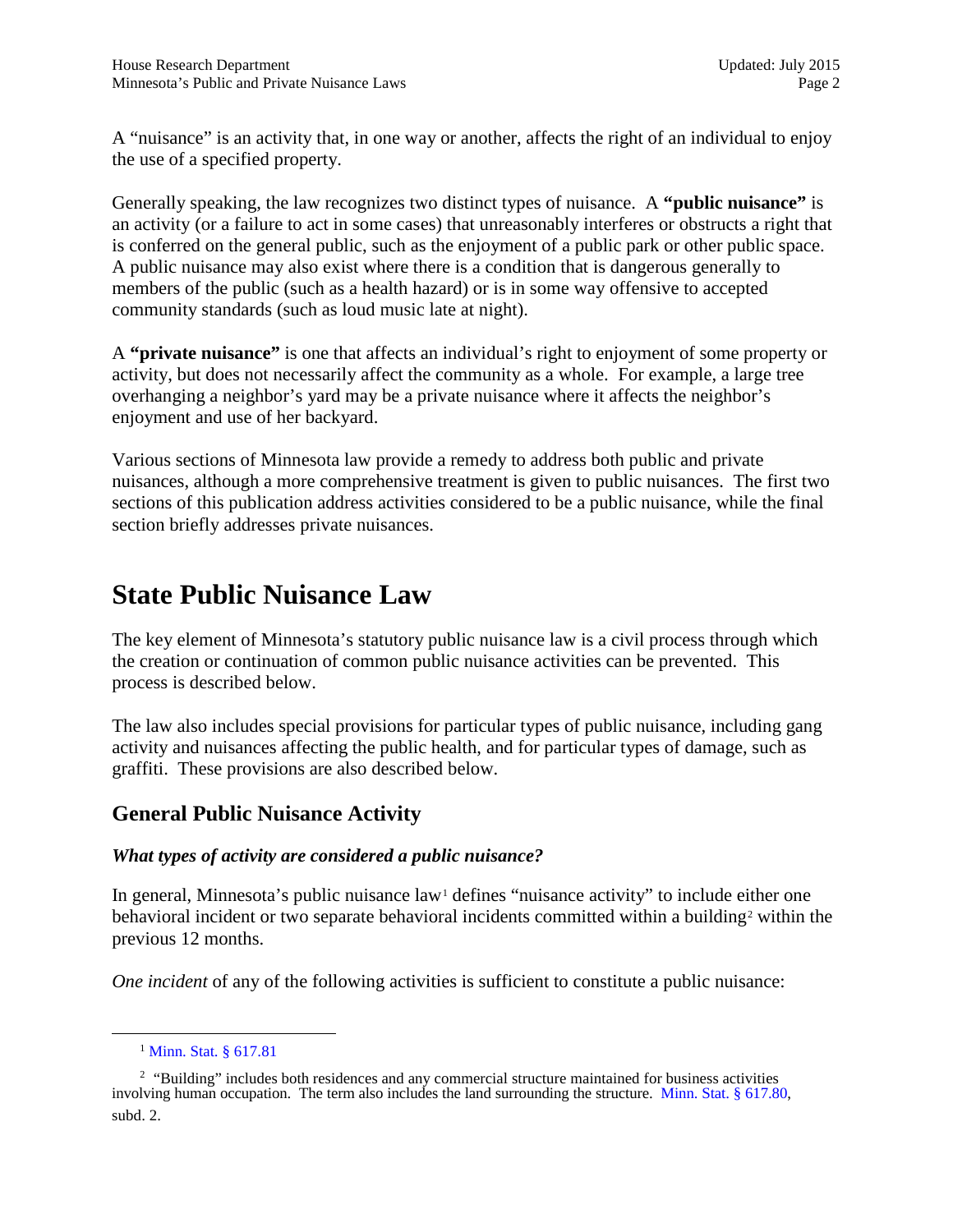A "nuisance" is an activity that, in one way or another, affects the right of an individual to enjoy the use of a specified property.

Generally speaking, the law recognizes two distinct types of nuisance. A **"public nuisance"** is an activity (or a failure to act in some cases) that unreasonably interferes or obstructs a right that is conferred on the general public, such as the enjoyment of a public park or other public space. A public nuisance may also exist where there is a condition that is dangerous generally to members of the public (such as a health hazard) or is in some way offensive to accepted community standards (such as loud music late at night).

A **"private nuisance"** is one that affects an individual's right to enjoyment of some property or activity, but does not necessarily affect the community as a whole. For example, a large tree overhanging a neighbor's yard may be a private nuisance where it affects the neighbor's enjoyment and use of her backyard.

Various sections of Minnesota law provide a remedy to address both public and private nuisances, although a more comprehensive treatment is given to public nuisances. The first two sections of this publication address activities considered to be a public nuisance, while the final section briefly addresses private nuisances.

## <span id="page-1-0"></span>**State Public Nuisance Law**

The key element of Minnesota's statutory public nuisance law is a civil process through which the creation or continuation of common public nuisance activities can be prevented. This process is described below.

The law also includes special provisions for particular types of public nuisance, including gang activity and nuisances affecting the public health, and for particular types of damage, such as graffiti. These provisions are also described below.

## **General Public Nuisance Activity**

## *What types of activity are considered a public nuisance?*

In general, Minnesota's public nuisance  $law<sup>1</sup>$  $law<sup>1</sup>$  $law<sup>1</sup>$  defines "nuisance activity" to include either one behavioral incident or two separate behavioral incidents committed within a building<sup>2</sup> within the previous 12 months.

*One incident* of any of the following activities is sufficient to constitute a public nuisance:

<sup>&</sup>lt;sup>1</sup> [Minn. Stat.](https://www.revisor.mn.gov/statutes/?id=617.81) § 617.81

<span id="page-1-2"></span><span id="page-1-1"></span><sup>&</sup>lt;sup>2</sup> "Building" includes both residences and any commercial structure maintained for business activities involving human occupation. The term also includes the land surrounding the structure. [Minn. Stat. § 617.80,](https://www.revisor.mn.gov/statutes/?id=617.80) subd. 2.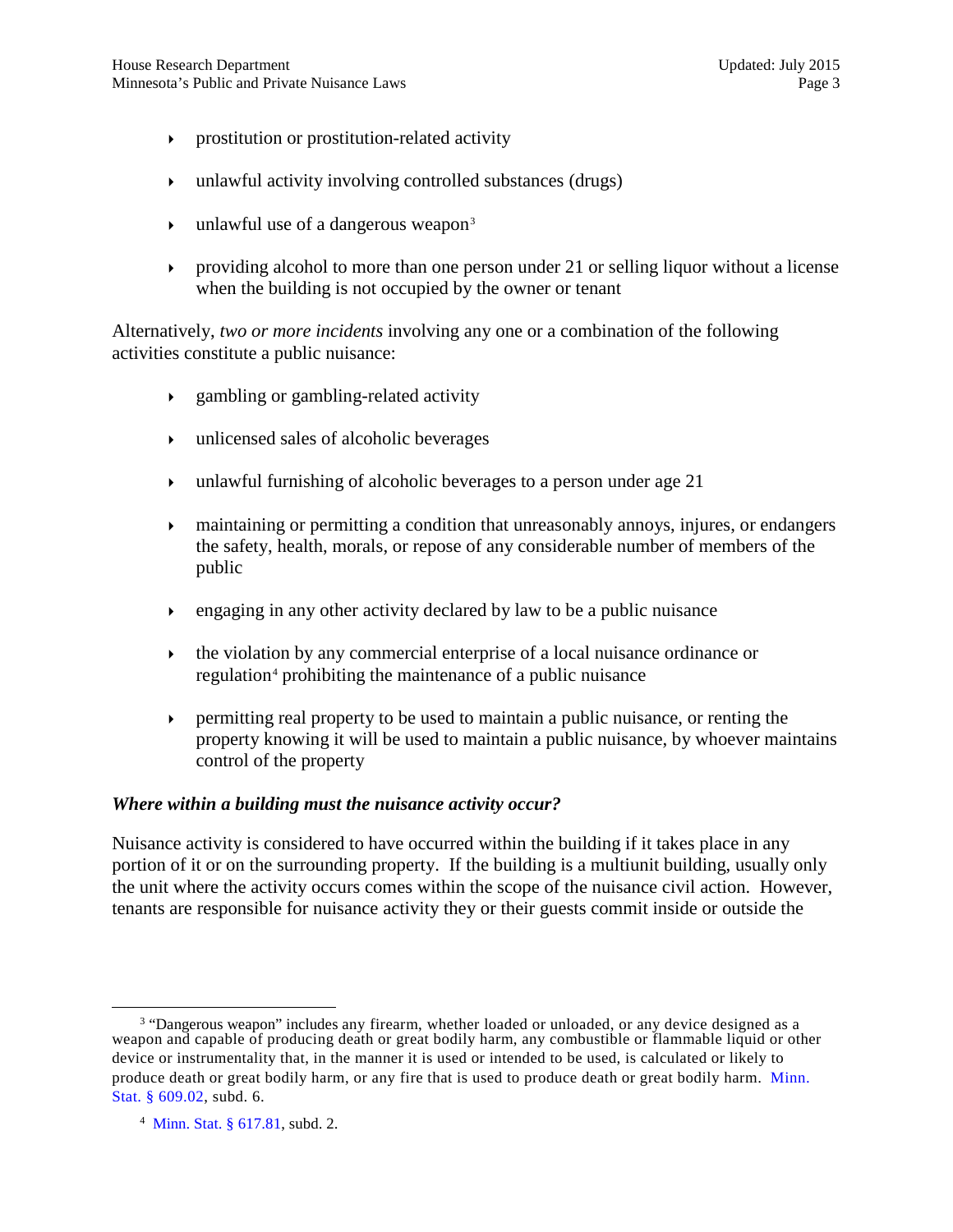- prostitution or prostitution-related activity
- unlawful activity involving controlled substances (drugs)
- unlawful use of a dangerous weapon [3](#page-2-0)
- providing alcohol to more than one person under 21 or selling liquor without a license when the building is not occupied by the owner or tenant

Alternatively, *two or more incidents* involving any one or a combination of the following activities constitute a public nuisance:

- gambling or gambling-related activity
- unlicensed sales of alcoholic beverages
- unlawful furnishing of alcoholic beverages to a person under age  $21$
- maintaining or permitting a condition that unreasonably annoys, injures, or endangers the safety, health, morals, or repose of any considerable number of members of the public
- $\epsilon$  engaging in any other activity declared by law to be a public nuisance
- $\rightarrow$  the violation by any commercial enterprise of a local nuisance ordinance or regulation<sup>[4](#page-2-1)</sup> prohibiting the maintenance of a public nuisance
- $\rightarrow$  permitting real property to be used to maintain a public nuisance, or renting the property knowing it will be used to maintain a public nuisance, by whoever maintains control of the property

#### *Where within a building must the nuisance activity occur?*

Nuisance activity is considered to have occurred within the building if it takes place in any portion of it or on the surrounding property. If the building is a multiunit building, usually only the unit where the activity occurs comes within the scope of the nuisance civil action. However, tenants are responsible for nuisance activity they or their guests commit inside or outside the

<span id="page-2-0"></span><sup>&</sup>lt;sup>3</sup> "Dangerous weapon" includes any firearm, whether loaded or unloaded, or any device designed as a weapon and capable of producing death or great bodily harm, any combustible or flammable liquid or other device or instrumentality that, in the manner it is used or intended to be used, is calculated or likely to produce death or great bodily harm, or any fire that is used to produce death or great bodily harm. [Minn.](https://www.revisor.mn.gov/statutes/?id=609.02) Stat. [§ 609.02,](https://www.revisor.mn.gov/statutes/?id=609.02) subd. 6.

<span id="page-2-1"></span><sup>4</sup> [Minn. Stat. § 617.81,](https://www.revisor.mn.gov/statutes/?id=617.81) subd. 2.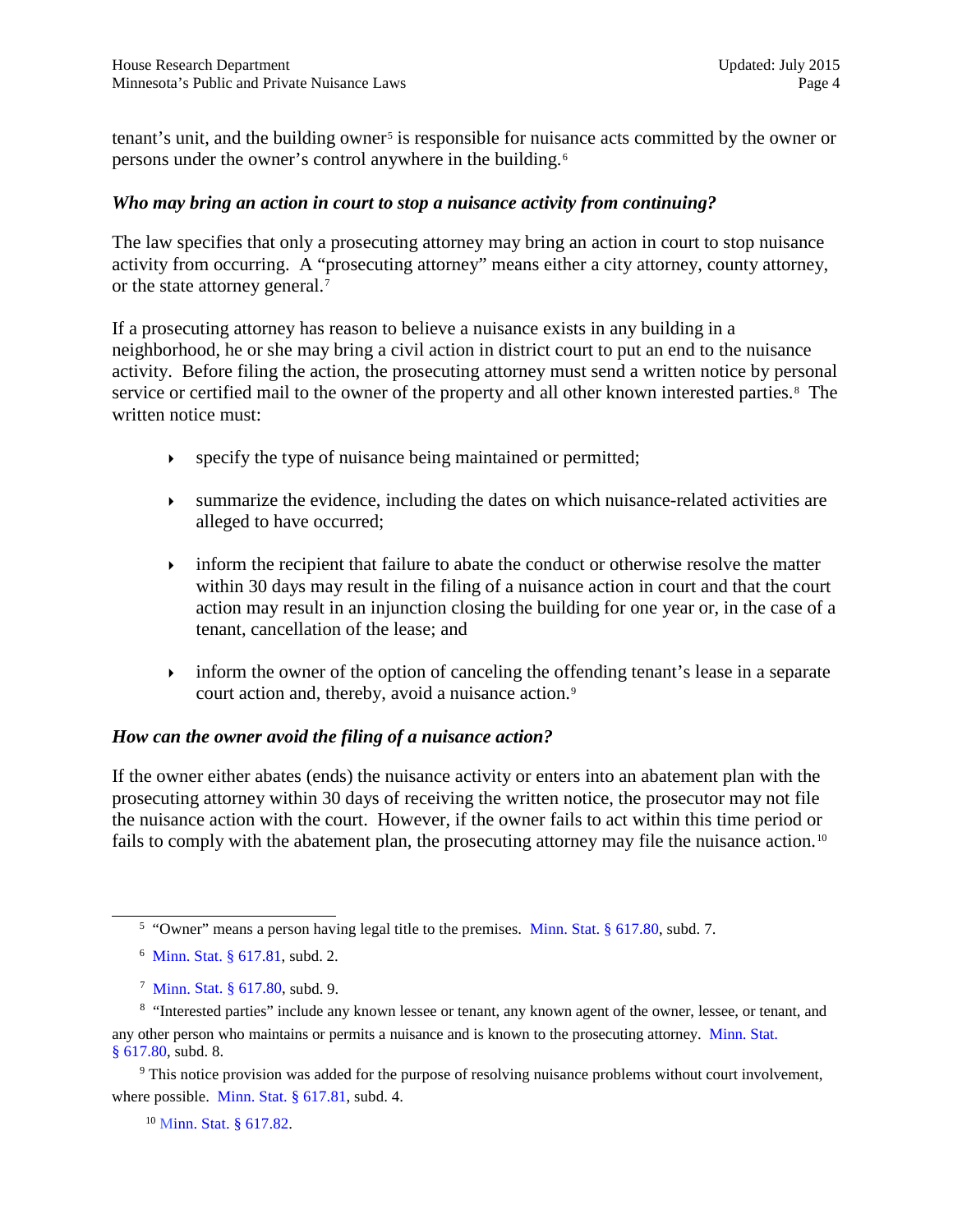tenant's unit, and the building owner<sup>[5](#page-3-0)</sup> is responsible for nuisance acts committed by the owner or persons under the owner's control anywhere in the building.[6](#page-3-1)

#### *Who may bring an action in court to stop a nuisance activity from continuing?*

The law specifies that only a prosecuting attorney may bring an action in court to stop nuisance activity from occurring. A "prosecuting attorney" means either a city attorney, county attorney, or the state attorney general.<sup>[7](#page-3-2)</sup>

If a prosecuting attorney has reason to believe a nuisance exists in any building in a neighborhood, he or she may bring a civil action in district court to put an end to the nuisance activity. Before filing the action, the prosecuting attorney must send a written notice by personal service or certified mail to the owner of the property and all other known interested parties.<sup>[8](#page-3-3)</sup> The written notice must:

- specify the type of nuisance being maintained or permitted;
- summarize the evidence, including the dates on which nuisance-related activities are alleged to have occurred;
- inform the recipient that failure to abate the conduct or otherwise resolve the matter within 30 days may result in the filing of a nuisance action in court and that the court action may result in an injunction closing the building for one year or, in the case of a tenant, cancellation of the lease; and
- $\rightarrow$  inform the owner of the option of canceling the offending tenant's lease in a separate court action and, thereby, avoid a nuisance action.<sup>[9](#page-3-4)</sup>

#### *How can the owner avoid the filing of a nuisance action?*

If the owner either abates (ends) the nuisance activity or enters into an abatement plan with the prosecuting attorney within 30 days of receiving the written notice, the prosecutor may not file the nuisance action with the court. However, if the owner fails to act within this time period or fails to comply with the abatement plan, the prosecuting attorney may file the nuisance action.<sup>[10](#page-3-5)</sup>

- 6 [Minn. Stat. § 617.81,](https://www.revisor.mn.gov/statutes/?id=617.81) subd. 2.
- 7 [Minn. Stat. § 617.80,](https://www.revisor.mn.gov/statutes/?id=617.80) subd. 9.

<span id="page-3-5"></span><span id="page-3-4"></span><sup>9</sup> This notice provision was added for the purpose of resolving nuisance problems without court involvement, where possible. [Minn. Stat. § 617.81,](https://www.revisor.mn.gov/statutes/?id=617.81) subd. 4.

<sup>10</sup> [Minn. Stat. § 617.82.](https://www.revisor.mn.gov/statutes/?id=617.82)

<sup>&</sup>lt;sup>5</sup> "Owner" means a person having legal title to the premises. [Minn. Stat. § 617.80,](https://www.revisor.mn.gov/statutes/?id=617.80) subd. 7.

<span id="page-3-3"></span><span id="page-3-2"></span><span id="page-3-1"></span><span id="page-3-0"></span><sup>&</sup>lt;sup>8</sup> "Interested parties" include any known lessee or tenant, any known agent of the owner, lessee, or tenant, and any other person who maintains or permits a nuisance and is known to the prosecuting attorney. [Minn. Stat.](https://www.revisor.mn.gov/statutes/?id=617.80) § [617.80](https://www.revisor.mn.gov/statutes/?id=617.80), subd. 8.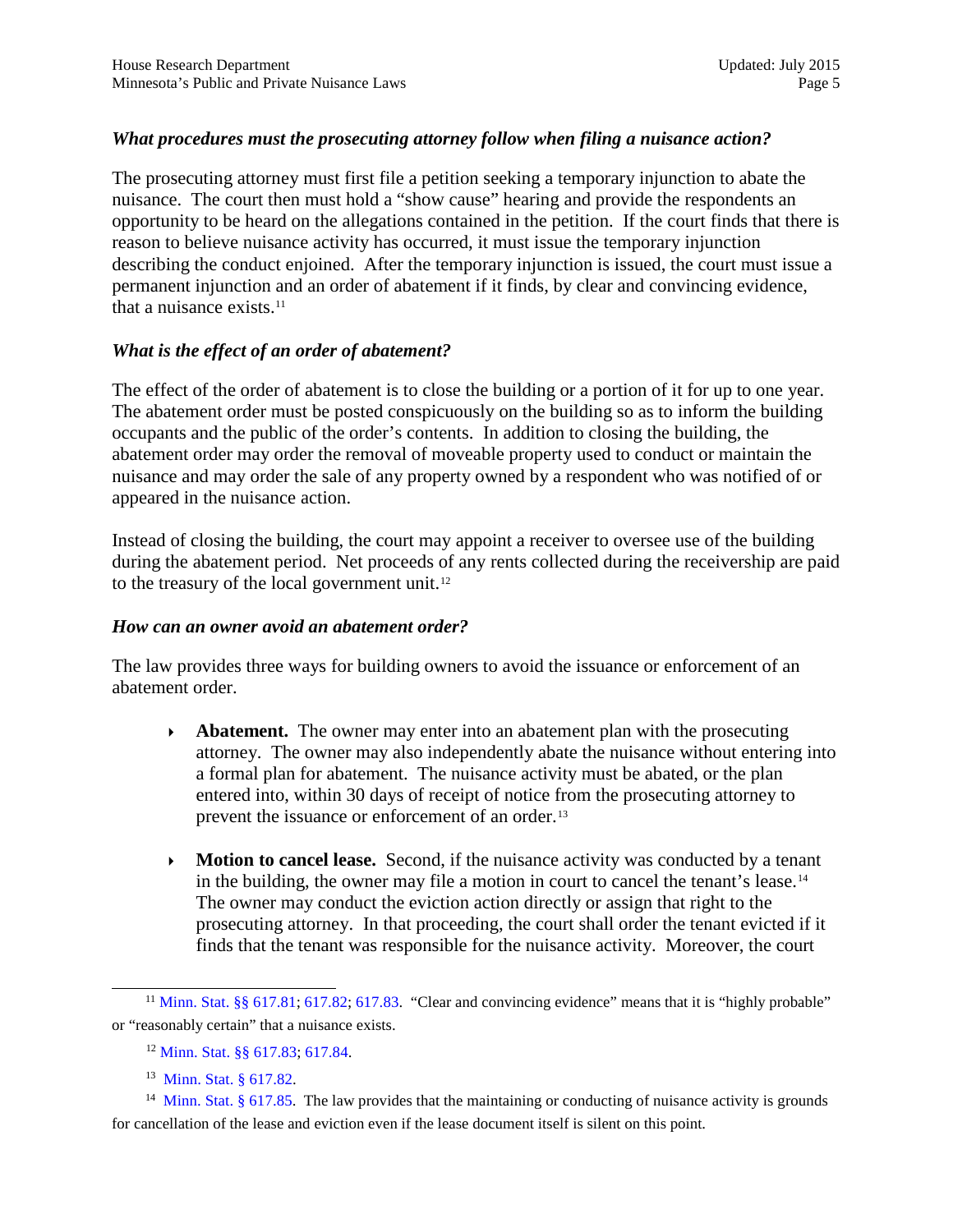### *What procedures must the prosecuting attorney follow when filing a nuisance action?*

The prosecuting attorney must first file a petition seeking a temporary injunction to abate the nuisance. The court then must hold a "show cause" hearing and provide the respondents an opportunity to be heard on the allegations contained in the petition. If the court finds that there is reason to believe nuisance activity has occurred, it must issue the temporary injunction describing the conduct enjoined. After the temporary injunction is issued, the court must issue a permanent injunction and an order of abatement if it finds, by clear and convincing evidence, that a nuisance exists.<sup>11</sup>

### *What is the effect of an order of abatement?*

The effect of the order of abatement is to close the building or a portion of it for up to one year. The abatement order must be posted conspicuously on the building so as to inform the building occupants and the public of the order's contents. In addition to closing the building, the abatement order may order the removal of moveable property used to conduct or maintain the nuisance and may order the sale of any property owned by a respondent who was notified of or appeared in the nuisance action.

Instead of closing the building, the court may appoint a receiver to oversee use of the building during the abatement period. Net proceeds of any rents collected during the receivership are paid to the treasury of the local government unit.<sup>[12](#page-4-1)</sup>

#### *How can an owner avoid an abatement order?*

The law provides three ways for building owners to avoid the issuance or enforcement of an abatement order.

- **Abatement.** The owner may enter into an abatement plan with the prosecuting attorney. The owner may also independently abate the nuisance without entering into a formal plan for abatement. The nuisance activity must be abated, or the plan entered into, within 30 days of receipt of notice from the prosecuting attorney to prevent the issuance or enforcement of an order.<sup>[13](#page-4-2)</sup>
- **Motion to cancel lease.** Second, if the nuisance activity was conducted by a tenant in the building, the owner may file a motion in court to cancel the tenant's lease.[14](#page-4-3) The owner may conduct the eviction action directly or assign that right to the prosecuting attorney. In that proceeding, the court shall order the tenant evicted if it finds that the tenant was responsible for the nuisance activity. Moreover, the court

<span id="page-4-0"></span><sup>&</sup>lt;sup>11</sup> [Minn. Stat. §§ 617.81](https://www.revisor.mn.gov/statutes/?id=617.81); [617.82;](https://www.revisor.mn.gov/statutes/?id=617.82) [617.83.](https://www.revisor.mn.gov/statutes/?id=617.83) "Clear and convincing evidence" means that it is "highly probable" or "reasonably certain" that a nuisance exists.

<sup>12</sup> [Minn. Stat. §§ 617.83;](https://www.revisor.mn.gov/statutes/?id=617.83) [617.84.](https://www.revisor.mn.gov/statutes/?id=617.84)

<sup>13</sup> [Minn. Stat. § 617.82.](https://www.revisor.mn.gov/statutes/?id=617.82)

<span id="page-4-3"></span><span id="page-4-2"></span><span id="page-4-1"></span><sup>&</sup>lt;sup>14</sup> [Minn. Stat. § 617.85.](https://www.revisor.mn.gov/statutes/?id=617.85) The law provides that the maintaining or conducting of nuisance activity is grounds for cancellation of the lease and eviction even if the lease document itself is silent on this point.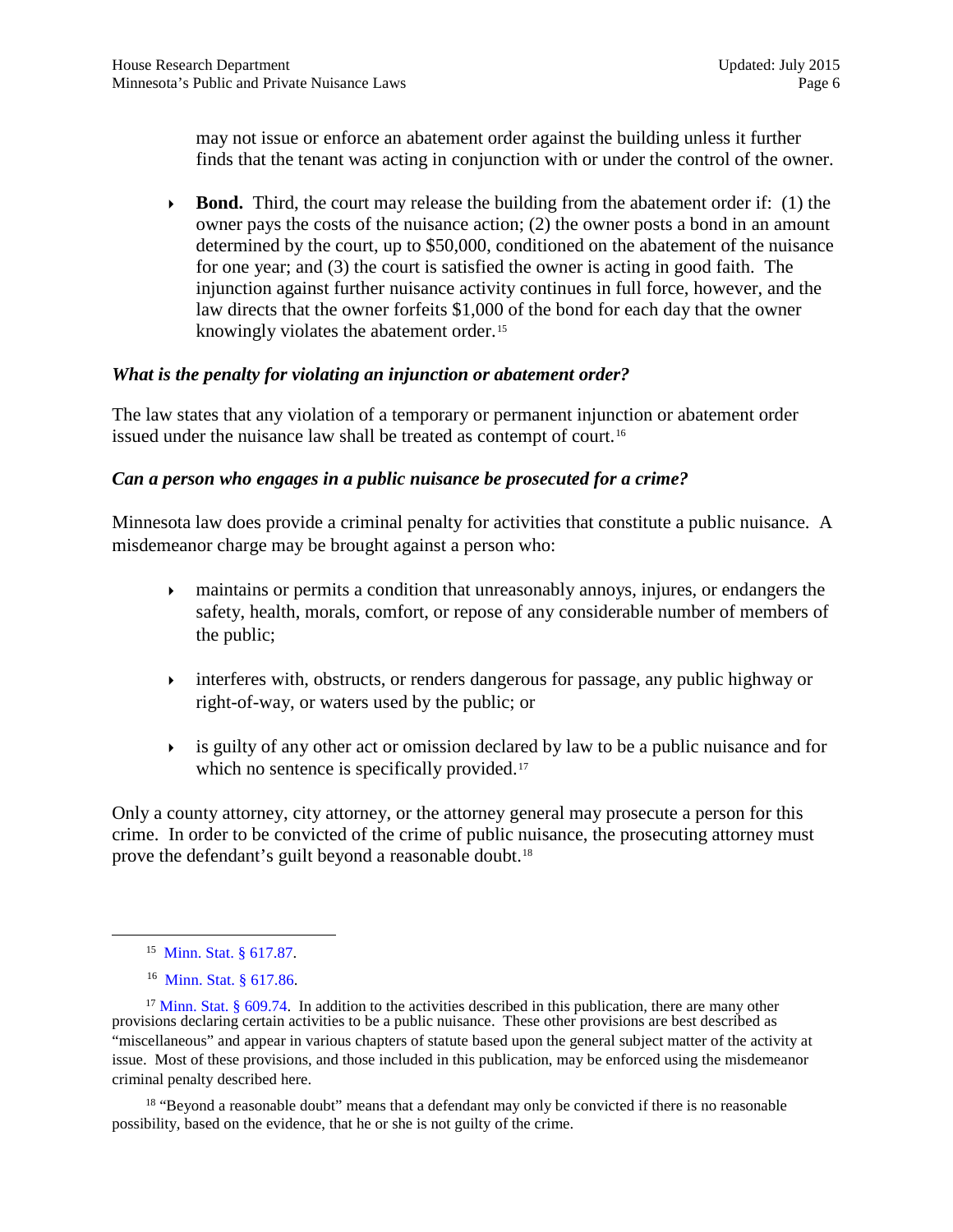may not issue or enforce an abatement order against the building unless it further finds that the tenant was acting in conjunction with or under the control of the owner.

**Bond.** Third, the court may release the building from the abatement order if: (1) the owner pays the costs of the nuisance action; (2) the owner posts a bond in an amount determined by the court, up to \$50,000, conditioned on the abatement of the nuisance for one year; and (3) the court is satisfied the owner is acting in good faith. The injunction against further nuisance activity continues in full force, however, and the law directs that the owner forfeits \$1,000 of the bond for each day that the owner knowingly violates the abatement order.<sup>[15](#page-5-0)</sup>

### *What is the penalty for violating an injunction or abatement order?*

The law states that any violation of a temporary or permanent injunction or abatement order issued under the nuisance law shall be treated as contempt of court.<sup>[16](#page-5-1)</sup>

## *Can a person who engages in a public nuisance be prosecuted for a crime?*

Minnesota law does provide a criminal penalty for activities that constitute a public nuisance. A misdemeanor charge may be brought against a person who:

- maintains or permits a condition that unreasonably annoys, injures, or endangers the safety, health, morals, comfort, or repose of any considerable number of members of the public;
- interferes with, obstructs, or renders dangerous for passage, any public highway or right-of-way, or waters used by the public; or
- $\rightarrow$  is guilty of any other act or omission declared by law to be a public nuisance and for which no sentence is specifically provided.<sup>[17](#page-5-2)</sup>

Only a county attorney, city attorney, or the attorney general may prosecute a person for this crime. In order to be convicted of the crime of public nuisance, the prosecuting attorney must prove the defendant's guilt beyond a reasonable doubt.<sup>[18](#page-5-3)</sup>

<span id="page-5-3"></span><sup>18</sup> "Beyond a reasonable doubt" means that a defendant may only be convicted if there is no reasonable possibility, based on the evidence, that he or she is not guilty of the crime.

<sup>15</sup> [Minn. Stat. § 617.87.](https://www.revisor.mn.gov/statutes/?id=617.87)

<sup>16</sup> [Minn. Stat. § 617.86.](https://www.revisor.mn.gov/statutes/?id=617.86)

<span id="page-5-2"></span><span id="page-5-1"></span><span id="page-5-0"></span><sup>&</sup>lt;sup>17</sup> [Minn. Stat. § 609.74.](https://www.revisor.mn.gov/statutes/?id=609.74) In addition to the activities described in this publication, there are many other provisions declaring certain activities to be a public nuisance. These other provisions are best described as "miscellaneous" and appear in various chapters of statute based upon the general subject matter of the activity at issue. Most of these provisions, and those included in this publication, may be enforced using the misdemeanor criminal penalty described here.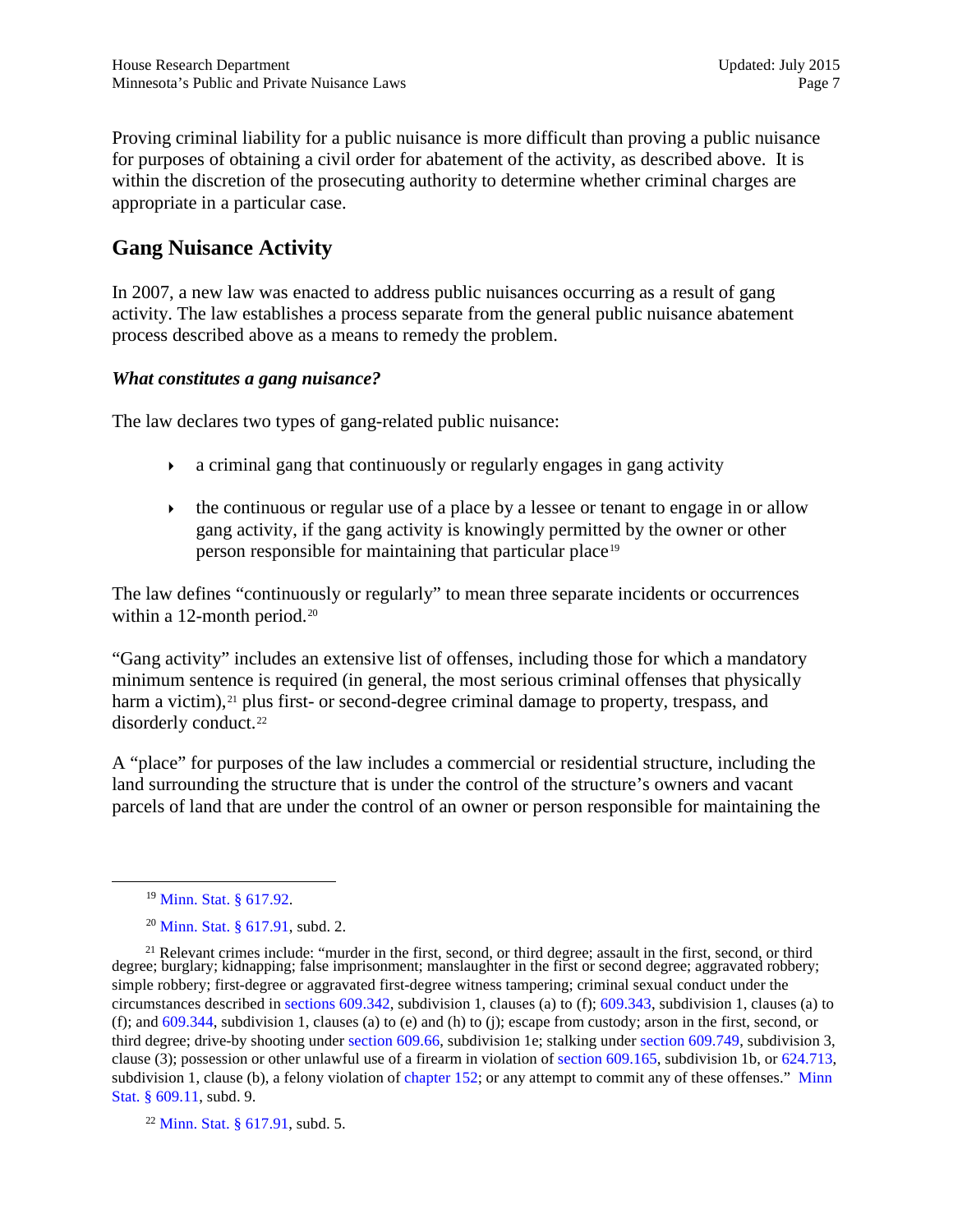Proving criminal liability for a public nuisance is more difficult than proving a public nuisance for purposes of obtaining a civil order for abatement of the activity, as described above. It is within the discretion of the prosecuting authority to determine whether criminal charges are appropriate in a particular case.

## **Gang Nuisance Activity**

In 2007, a new law was enacted to address public nuisances occurring as a result of gang activity. The law establishes a process separate from the general public nuisance abatement process described above as a means to remedy the problem.

### *What constitutes a gang nuisance?*

The law declares two types of gang-related public nuisance:

- a criminal gang that continuously or regularly engages in gang activity
- $\rightarrow$  the continuous or regular use of a place by a lessee or tenant to engage in or allow gang activity, if the gang activity is knowingly permitted by the owner or other person responsible for maintaining that particular place[19](#page-6-0)

The law defines "continuously or regularly" to mean three separate incidents or occurrences within a 12-month period.<sup>[20](#page-6-1)</sup>

"Gang activity" includes an extensive list of offenses, including those for which a mandatory minimum sentence is required (in general, the most serious criminal offenses that physically harm a victim),<sup>[21](#page-6-2)</sup> plus first- or second-degree criminal damage to property, trespass, and disorderly conduct.<sup>22</sup>

A "place" for purposes of the law includes a commercial or residential structure, including the land surrounding the structure that is under the control of the structure's owners and vacant parcels of land that are under the control of an owner or person responsible for maintaining the

<sup>19</sup> [Minn. Stat. § 617.92.](https://www.revisor.mn.gov/statutes/?id=617.92)

<sup>20</sup> [Minn. Stat. § 617.91,](https://www.revisor.mn.gov/statutes/?id=617.91) subd. 2.

<span id="page-6-2"></span><span id="page-6-1"></span><span id="page-6-0"></span><sup>&</sup>lt;sup>21</sup> Relevant crimes include: "murder in the first, second, or third degree; assault in the first, second, or third degree; burglary; kidnapping; false imprisonment; manslaughter in the first or second degree; aggravated robbery; simple robbery; first-degree or aggravated first-degree witness tampering; criminal sexual conduct under the circumstances described in [sections 609.342,](https://www.revisor.mn.gov/statutes/?id=609.342) subdivision 1, clauses (a) to (f); [609.343,](https://www.revisor.mn.gov/statutes/?id=609.343) subdivision 1, clauses (a) to (f); and  $609.344$ , subdivision 1, clauses (a) to (e) and (h) to (j); escape from custody; arson in the first, second, or third degree; drive-by shooting under [section 609.66,](https://www.revisor.mn.gov/statutes/?id=609.66) subdivision 1e; stalking under [section 609.749,](https://www.revisor.mn.gov/statutes/?id=609.749) subdivision 3, clause (3); possession or other unlawful use of a firearm in violation of [section 609.165,](https://www.revisor.mn.gov/statutes/?id=609.165) subdivision 1b, or [624.713,](https://www.revisor.mn.gov/statutes/?id=624.713) subdivision 1, clause (b), a felony violation of [chapter 152;](https://www.revisor.mn.gov/laws/?year=2014&type=0&doctype=Chapter&id=152) or any attempt to commit any of these offenses." [Minn](https://www.revisor.mn.gov/statutes/?id=609.11) [Stat. § 609.11,](https://www.revisor.mn.gov/statutes/?id=609.11) subd. 9.

<span id="page-6-3"></span> $22$  [Minn. Stat. § 617.91,](https://www.revisor.mn.gov/statutes/?id=617.91) subd. 5.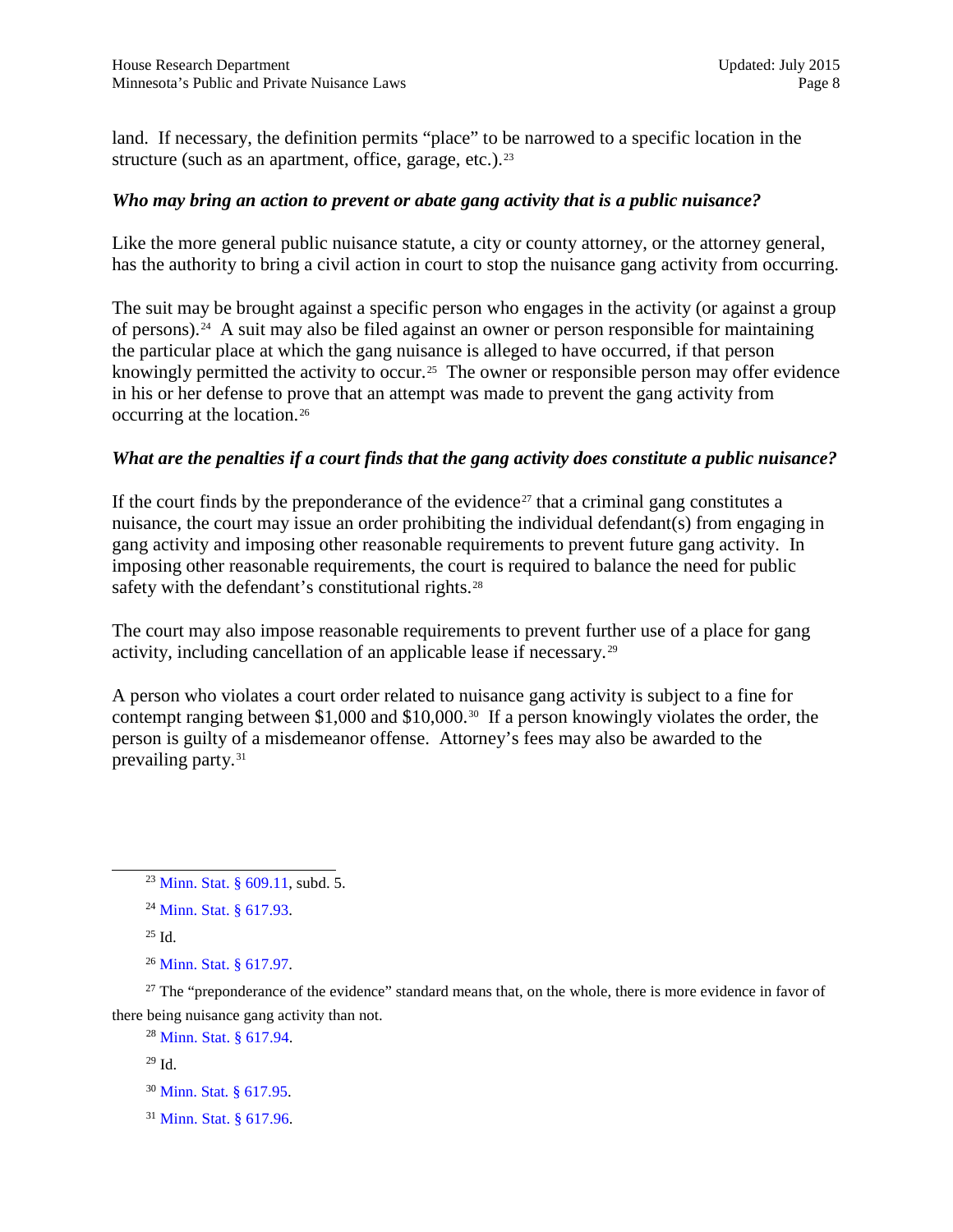land. If necessary, the definition permits "place" to be narrowed to a specific location in the structure (such as an apartment, office, garage, etc.).<sup>[23](#page-7-0)</sup>

### *Who may bring an action to prevent or abate gang activity that is a public nuisance?*

Like the more general public nuisance statute, a city or county attorney, or the attorney general, has the authority to bring a civil action in court to stop the nuisance gang activity from occurring.

The suit may be brought against a specific person who engages in the activity (or against a group of persons).[24](#page-7-1) A suit may also be filed against an owner or person responsible for maintaining the particular place at which the gang nuisance is alleged to have occurred, if that person knowingly permitted the activity to occur.<sup>25</sup> The owner or responsible person may offer evidence in his or her defense to prove that an attempt was made to prevent the gang activity from occurring at the location.[26](#page-7-3)

### *What are the penalties if a court finds that the gang activity does constitute a public nuisance?*

If the court finds by the preponderance of the evidence<sup>[27](#page-7-4)</sup> that a criminal gang constitutes a nuisance, the court may issue an order prohibiting the individual defendant(s) from engaging in gang activity and imposing other reasonable requirements to prevent future gang activity. In imposing other reasonable requirements, the court is required to balance the need for public safety with the defendant's constitutional rights.<sup>[28](#page-7-5)</sup>

The court may also impose reasonable requirements to prevent further use of a place for gang activity, including cancellation of an applicable lease if necessary.[29](#page-7-6)

A person who violates a court order related to nuisance gang activity is subject to a fine for contempt ranging between \$1,000 and \$10,000.[30](#page-7-7) If a person knowingly violates the order, the person is guilty of a misdemeanor offense. Attorney's fees may also be awarded to the prevailing party.<sup>[31](#page-7-8)</sup>

<span id="page-7-6"></span><span id="page-7-5"></span><span id="page-7-4"></span><span id="page-7-3"></span><span id="page-7-2"></span><span id="page-7-1"></span><sup>27</sup> The "preponderance of the evidence" standard means that, on the whole, there is more evidence in favor of there being nuisance gang activity than not.

<sup>28</sup> [Minn. Stat. § 617.94.](https://www.revisor.mn.gov/statutes/?id=617.94)

<span id="page-7-7"></span><sup>30</sup> [Minn. Stat. § 617.95.](https://www.revisor.mn.gov/statutes/?id=617.95)

<span id="page-7-0"></span><sup>23</sup> [Minn. Stat. § 609.11](https://www.revisor.mn.gov/statutes/?id=609.11), subd. 5.

<sup>24</sup> [Minn. Stat. § 617.93](https://www.revisor.mn.gov/statutes/?id=617.93).

 $25$  Id.

<sup>26</sup> [Minn. Stat. § 617.97.](https://www.revisor.mn.gov/statutes/?id=617.97)

<sup>29</sup> Id.

<span id="page-7-8"></span><sup>31</sup> [Minn. Stat. § 617.96.](https://www.revisor.mn.gov/statutes/?id=617.96)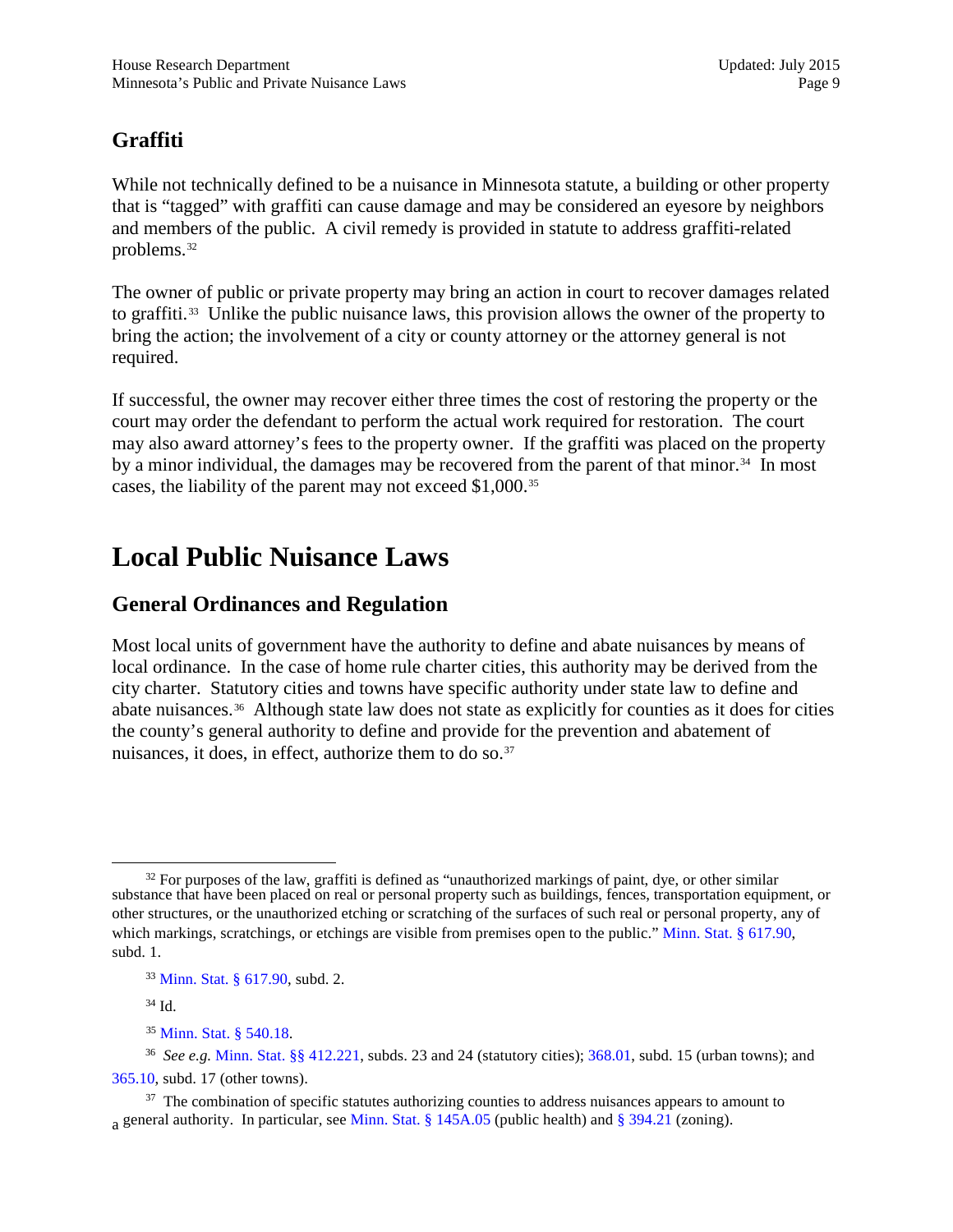## **Graffiti**

While not technically defined to be a nuisance in Minnesota statute, a building or other property that is "tagged" with graffiti can cause damage and may be considered an eyesore by neighbors and members of the public. A civil remedy is provided in statute to address graffiti-related problems.[32](#page-8-1)

The owner of public or private property may bring an action in court to recover damages related to graffiti.[33](#page-8-2) Unlike the public nuisance laws, this provision allows the owner of the property to bring the action; the involvement of a city or county attorney or the attorney general is not required.

If successful, the owner may recover either three times the cost of restoring the property or the court may order the defendant to perform the actual work required for restoration. The court may also award attorney's fees to the property owner. If the graffiti was placed on the property by a minor individual, the damages may be recovered from the parent of that minor.<sup>[34](#page-8-3)</sup> In most cases, the liability of the parent may not exceed \$1,000.[35](#page-8-4)

## <span id="page-8-0"></span>**Local Public Nuisance Laws**

## **General Ordinances and Regulation**

Most local units of government have the authority to define and abate nuisances by means of local ordinance. In the case of home rule charter cities, this authority may be derived from the city charter. Statutory cities and towns have specific authority under state law to define and abate nuisances.[36](#page-8-5) Although state law does not state as explicitly for counties as it does for cities the county's general authority to define and provide for the prevention and abatement of nuisances, it does, in effect, authorize them to do so.<sup>[37](#page-8-6)</sup>

<sup>34</sup> Id.

<sup>35</sup> [Minn. Stat. § 540.18.](https://www.revisor.mn.gov/statutes/?id=540.18)

<span id="page-8-1"></span> $32$  For purposes of the law, graffiti is defined as "unauthorized markings of paint, dye, or other similar substance that have been placed on real or personal property such as buildings, fences, transportation equipment, or other structures, or the unauthorized etching or scratching of the surfaces of such real or personal property, any of which markings, scratchings, or etchings are visible from premises open to the public." [Minn. Stat.](https://www.revisor.mn.gov/statutes/?id=617.90) § 617.90, subd. 1.

<sup>33</sup> [Minn. Stat. § 617.90,](https://www.revisor.mn.gov/statutes/?id=617.90) subd. 2.

<span id="page-8-5"></span><span id="page-8-4"></span><span id="page-8-3"></span><span id="page-8-2"></span><sup>36</sup> *See e.g.* [Minn. Stat. §§ 412.221](https://www.revisor.mn.gov/statutes/?id=412.221), subds. 23 and 24 (statutory cities); [368.01,](https://www.revisor.mn.gov/statutes/?id=368.01) subd. 15 (urban towns); and [365.10,](https://www.revisor.mn.gov/statutes/?id=365.10) subd. 17 (other towns).

<span id="page-8-6"></span><sup>&</sup>lt;sup>37</sup> The combination of specific statutes authorizing counties to address nuisances appears to amount to a general authority. In particular, see Minn. Stat.  $\S 145A.05$  (public health) and  $\S 394.21$  (zoning).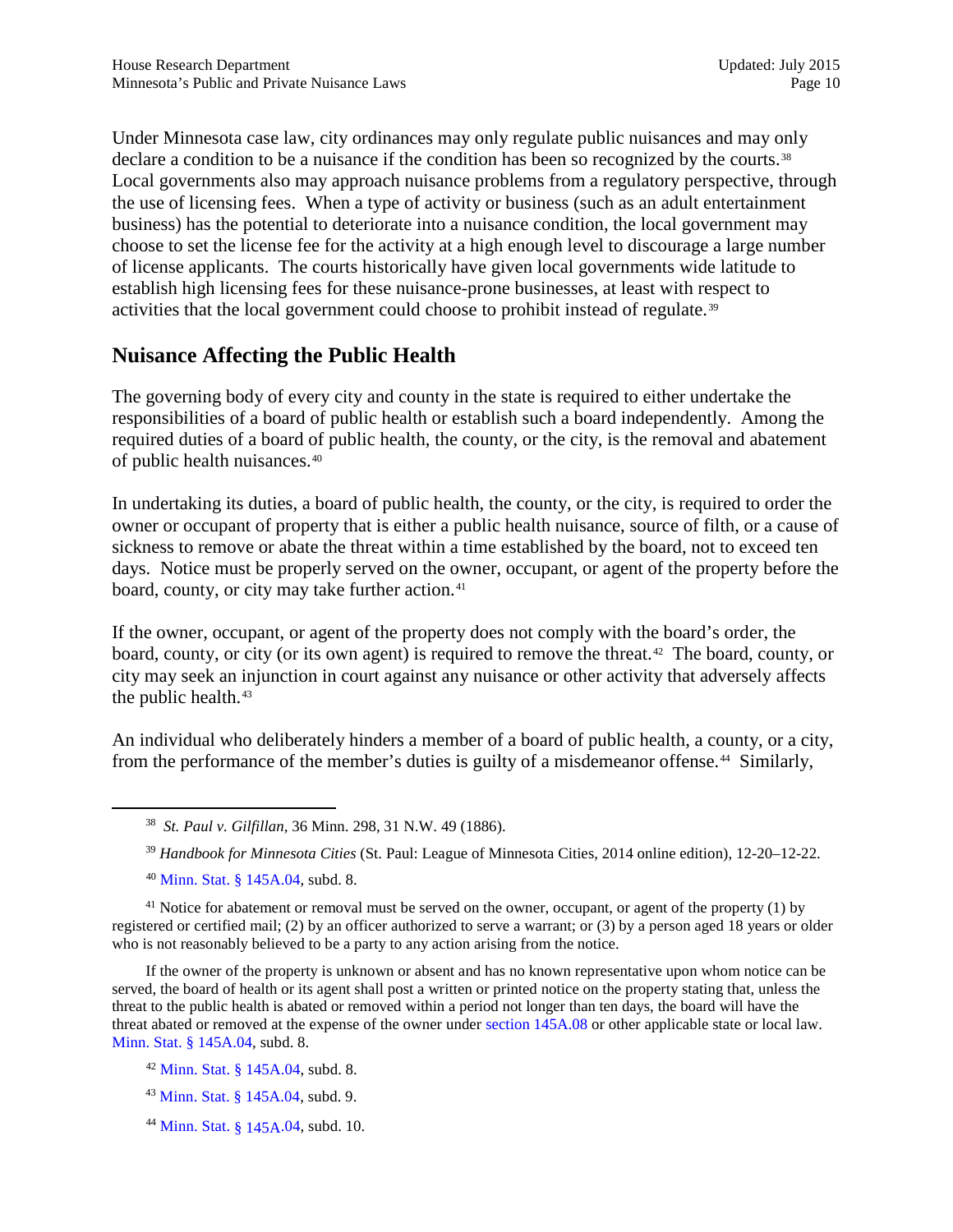Under Minnesota case law, city ordinances may only regulate public nuisances and may only declare a condition to be a nuisance if the condition has been so recognized by the courts.<sup>38</sup> Local governments also may approach nuisance problems from a regulatory perspective, through the use of licensing fees. When a type of activity or business (such as an adult entertainment business) has the potential to deteriorate into a nuisance condition, the local government may choose to set the license fee for the activity at a high enough level to discourage a large number of license applicants. The courts historically have given local governments wide latitude to establish high licensing fees for these nuisance-prone businesses, at least with respect to activities that the local government could choose to prohibit instead of regulate.<sup>[39](#page-9-1)</sup>

## **Nuisance Affecting the Public Health**

The governing body of every city and county in the state is required to either undertake the responsibilities of a board of public health or establish such a board independently. Among the required duties of a board of public health, the county, or the city, is the removal and abatement of public health nuisances.[40](#page-9-2)

In undertaking its duties, a board of public health, the county, or the city, is required to order the owner or occupant of property that is either a public health nuisance, source of filth, or a cause of sickness to remove or abate the threat within a time established by the board, not to exceed ten days. Notice must be properly served on the owner, occupant, or agent of the property before the board, county, or city may take further action.<sup>41</sup>

If the owner, occupant, or agent of the property does not comply with the board's order, the board, county, or city (or its own agent) is required to remove the threat.<sup>[42](#page-9-4)</sup> The board, county, or city may seek an injunction in court against any nuisance or other activity that adversely affects the public health.[43](#page-9-5)

An individual who deliberately hinders a member of a board of public health, a county, or a city, from the performance of the member's duties is guilty of a misdemeanor offense.<sup>[44](#page-9-6)</sup> Similarly,

<sup>39</sup> *Handbook for Minnesota Cities* (St. Paul: League of Minnesota Cities, 2014 online edition), 12-20–12-22.

<sup>40</sup> [Minn. Stat. § 145A.04,](https://www.revisor.mn.gov/statutes/?id=145A.04) subd. 8.

<span id="page-9-3"></span><span id="page-9-2"></span><span id="page-9-1"></span><span id="page-9-0"></span><sup>41</sup> Notice for abatement or removal must be served on the owner, occupant, or agent of the property (1) by registered or certified mail; (2) by an officer authorized to serve a warrant; or (3) by a person aged 18 years or older who is not reasonably believed to be a party to any action arising from the notice.

If the owner of the property is unknown or absent and has no known representative upon whom notice can be served, the board of health or its agent shall post a written or printed notice on the property stating that, unless the threat to the public health is abated or removed within a period not longer than ten days, the board will have the threat abated or removed at the expense of the owner under [section 145A.08](https://www.revisor.mn.gov/statutes/?id=145A.08) or other applicable state or local law. [Minn. Stat. § 145A.04](https://www.revisor.mn.gov/statutes/?id=145A.04), subd. 8.

<span id="page-9-4"></span><sup>42</sup> [Minn. Stat. § 145A.04,](https://www.revisor.mn.gov/statutes/?id=145A.04) subd. 8.

<span id="page-9-5"></span><sup>43</sup> [Minn. Stat. § 145A.04,](https://www.revisor.mn.gov/statutes/?id=145A.04) subd. 9.

<span id="page-9-6"></span><sup>44</sup> [Minn. Stat. §](https://www.revisor.mn.gov/statutes/?id=145A.04) 145A.04, subd. 10.

<sup>38</sup> *St. Paul v. Gilfillan*, 36 Minn. 298, 31 N.W. 49 (1886).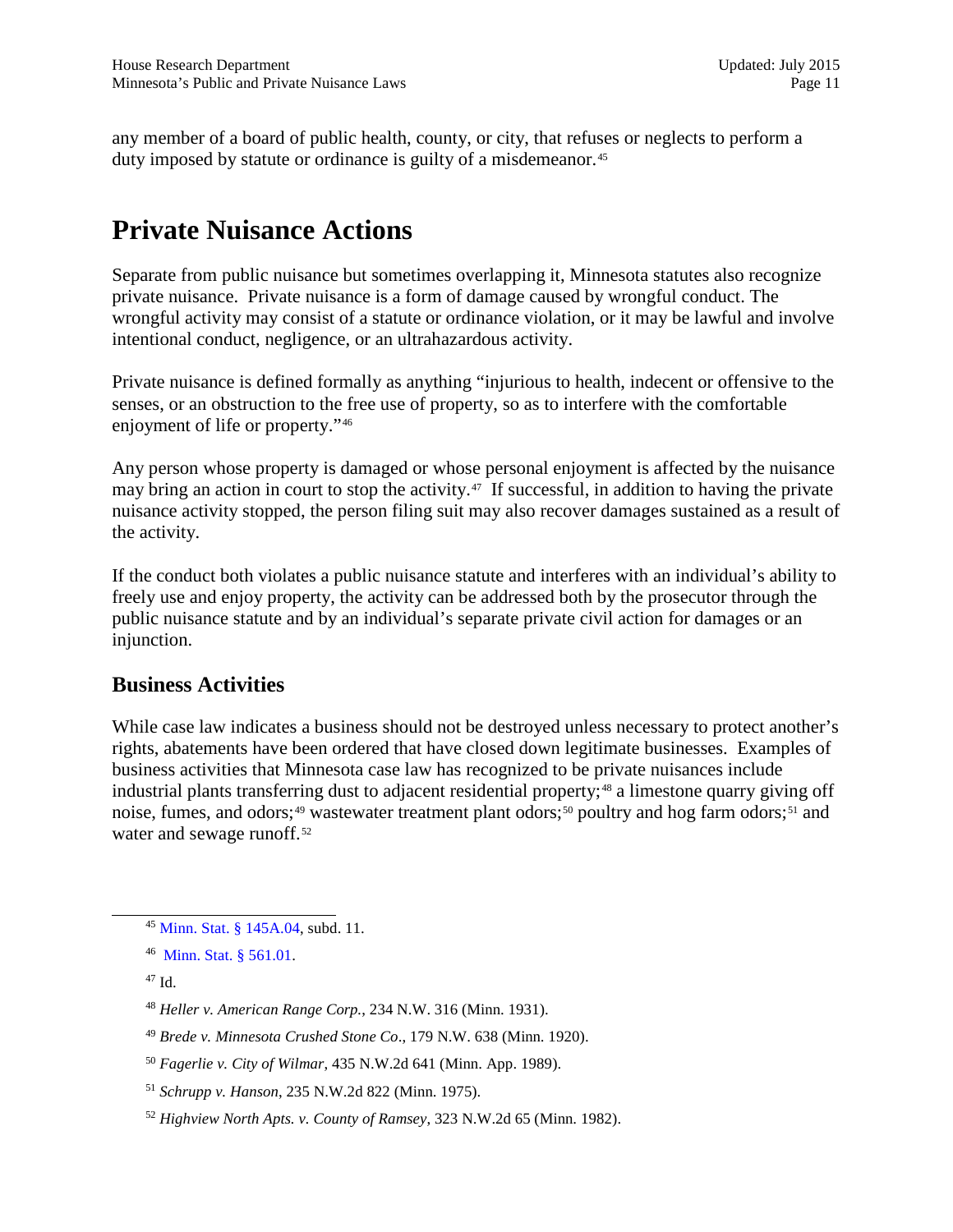any member of a board of public health, county, or city, that refuses or neglects to perform a duty imposed by statute or ordinance is guilty of a misdemeanor.<sup>[45](#page-10-1)</sup>

## <span id="page-10-0"></span>**Private Nuisance Actions**

Separate from public nuisance but sometimes overlapping it, Minnesota statutes also recognize private nuisance. Private nuisance is a form of damage caused by wrongful conduct. The wrongful activity may consist of a statute or ordinance violation, or it may be lawful and involve intentional conduct, negligence, or an ultrahazardous activity.

Private nuisance is defined formally as anything "injurious to health, indecent or offensive to the senses, or an obstruction to the free use of property, so as to interfere with the comfortable enjoyment of life or property."[46](#page-10-2) 

Any person whose property is damaged or whose personal enjoyment is affected by the nuisance may bring an action in court to stop the activity.<sup>47</sup> If successful, in addition to having the private nuisance activity stopped, the person filing suit may also recover damages sustained as a result of the activity.

If the conduct both violates a public nuisance statute and interferes with an individual's ability to freely use and enjoy property, the activity can be addressed both by the prosecutor through the public nuisance statute and by an individual's separate private civil action for damages or an injunction.

## **Business Activities**

While case law indicates a business should not be destroyed unless necessary to protect another's rights, abatements have been ordered that have closed down legitimate businesses. Examples of business activities that Minnesota case law has recognized to be private nuisances include industrial plants transferring dust to adjacent residential property;<sup>[48](#page-10-4)</sup> a limestone quarry giving off noise, fumes, and odors;<sup>[49](#page-10-5)</sup> wastewater treatment plant odors;<sup>[50](#page-10-6)</sup> poultry and hog farm odors;<sup>51</sup> and water and sewage runoff.<sup>[52](#page-10-8)</sup>

<span id="page-10-3"></span><sup>47</sup> Id.

<span id="page-10-1"></span><sup>45</sup> [Minn. Stat. § 145A.04,](https://www.revisor.mn.gov/statutes/?id=145A.04) subd. 11.

<span id="page-10-2"></span><sup>46</sup> [Minn. Stat. § 561.01](https://www.revisor.mn.gov/statutes/?id=561.01).

<span id="page-10-4"></span><sup>48</sup> *Heller v. American Range Corp.*, 234 N.W. 316 (Minn. 1931).

<span id="page-10-5"></span><sup>49</sup> *Brede v. Minnesota Crushed Stone Co*., 179 N.W. 638 (Minn. 1920).

<span id="page-10-6"></span><sup>50</sup> *Fagerlie v. City of Wilmar*, 435 N.W.2d 641 (Minn. App. 1989).

<span id="page-10-7"></span><sup>51</sup> *Schrupp v. Hanson*, 235 N.W.2d 822 (Minn. 1975).

<span id="page-10-8"></span><sup>52</sup> *Highview North Apts. v. County of Ramsey*, 323 N.W.2d 65 (Minn. 1982).